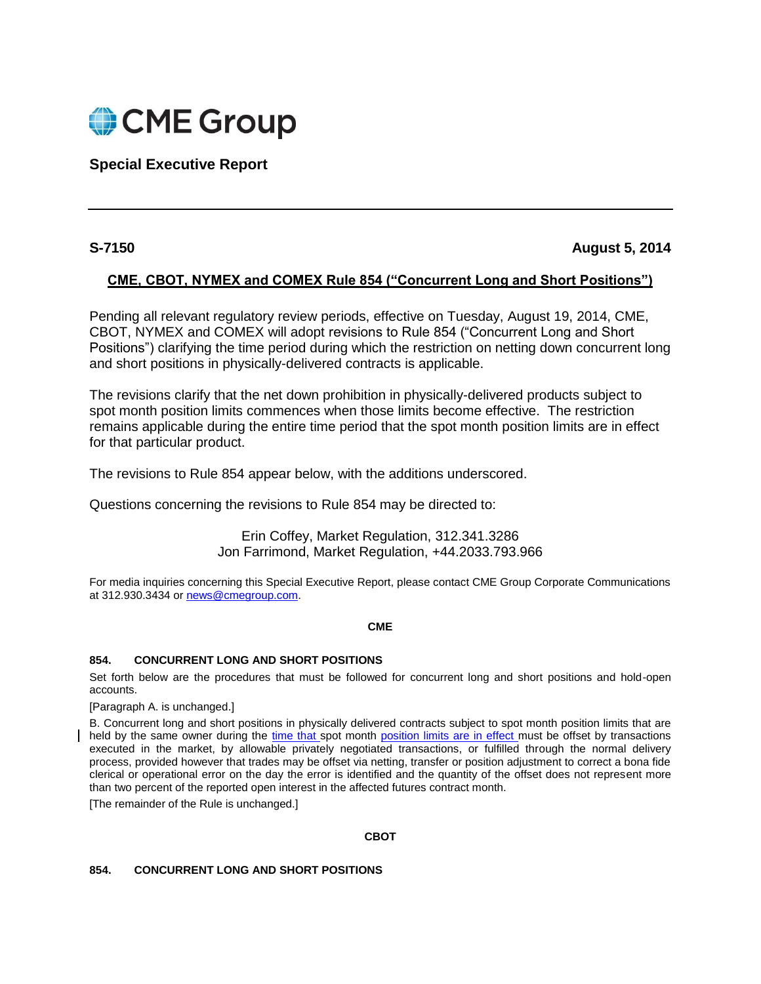

**Special Executive Report**

# **S-7150 August 5, 2014**

# **CME, CBOT, NYMEX and COMEX Rule 854 ("Concurrent Long and Short Positions")**

Pending all relevant regulatory review periods, effective on Tuesday, August 19, 2014, CME, CBOT, NYMEX and COMEX will adopt revisions to Rule 854 ("Concurrent Long and Short Positions") clarifying the time period during which the restriction on netting down concurrent long and short positions in physically-delivered contracts is applicable.

The revisions clarify that the net down prohibition in physically-delivered products subject to spot month position limits commences when those limits become effective. The restriction remains applicable during the entire time period that the spot month position limits are in effect for that particular product.

The revisions to Rule 854 appear below, with the additions underscored.

Questions concerning the revisions to Rule 854 may be directed to:

Erin Coffey, Market Regulation, 312.341.3286 Jon Farrimond, Market Regulation, +44.2033.793.966

For media inquiries concerning this Special Executive Report, please contact CME Group Corporate Communications at 312.930.3434 or [news@cmegroup.com.](mailto:news@cmegroup.com)

# **CME**

# **854. CONCURRENT LONG AND SHORT POSITIONS**

Set forth below are the procedures that must be followed for concurrent long and short positions and hold-open accounts.

[Paragraph A. is unchanged.]

B. Concurrent long and short positions in physically delivered contracts subject to spot month position limits that are held by the same owner during the time that spot month position limits are in effect must be offset by transactions executed in the market, by allowable privately negotiated transactions, or fulfilled through the normal delivery process, provided however that trades may be offset via netting, transfer or position adjustment to correct a bona fide clerical or operational error on the day the error is identified and the quantity of the offset does not represent more than two percent of the reported open interest in the affected futures contract month.

[The remainder of the Rule is unchanged.]

**CBOT**

# **854. CONCURRENT LONG AND SHORT POSITIONS**